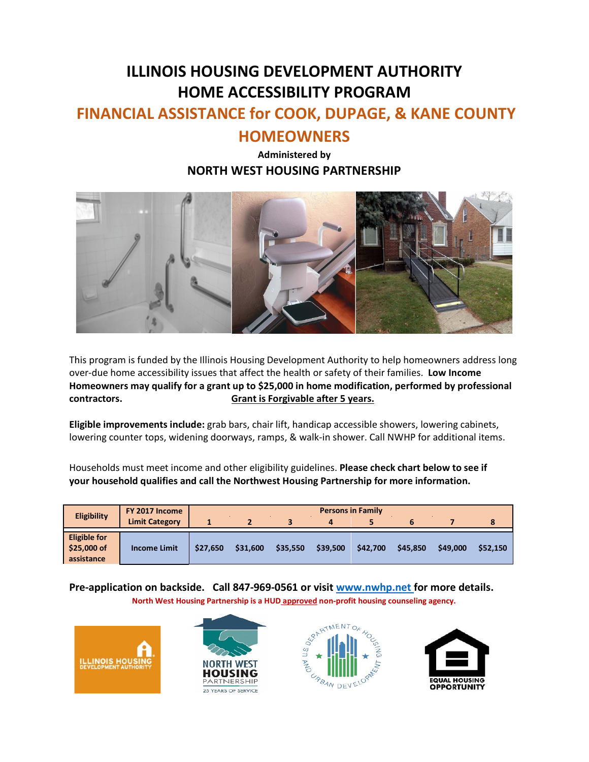# **ILLINOIS HOUSING DEVELOPMENT AUTHORITY HOME ACCESSIBILITY PROGRAM**

## **FINANCIAL ASSISTANCE for COOK, DUPAGE, & KANE COUNTY**

### **HOMEOWNERS**

#### **Administered by NORTH WEST HOUSING PARTNERSHIP**



This program is funded by the Illinois Housing Development Authority to help homeowners address long over-due home accessibility issues that affect the health or safety of their families. **Low Income Homeowners may qualify for a grant up to \$25,000 in home modification, performed by professional contractors. Grant is Forgivable after 5 years.**

**Eligible improvements include:** grab bars, chair lift, handicap accessible showers, lowering cabinets, lowering counter tops, widening doorways, ramps, & walk-in shower. Call NWHP for additional items.

Households must meet income and other eligibility guidelines. **Please check chart below to see if your household qualifies and call the Northwest Housing Partnership for more information.** 

| <b>Eligibility</b>                               | FY 2017 Income<br><b>Limit Category</b> | <b>Persons in Family</b> |                |          |          |          |          |          |          |  |
|--------------------------------------------------|-----------------------------------------|--------------------------|----------------|----------|----------|----------|----------|----------|----------|--|
|                                                  |                                         |                          | $\overline{2}$ | 3        | 4        |          | 6        |          |          |  |
| <b>Eligible for</b><br>\$25,000 of<br>assistance | <b>Income Limit</b>                     | \$27.650                 | \$31,600       | \$35.550 | \$39,500 | \$42,700 | \$45.850 | \$49,000 | \$52.150 |  |

**Pre-application on backside. Call 847-969-0561 or visit [www.nwhp.net](http://www.nwhp.net/) for more details. North West Housing Partnership is a HUD approved non-profit housing counseling agency.**